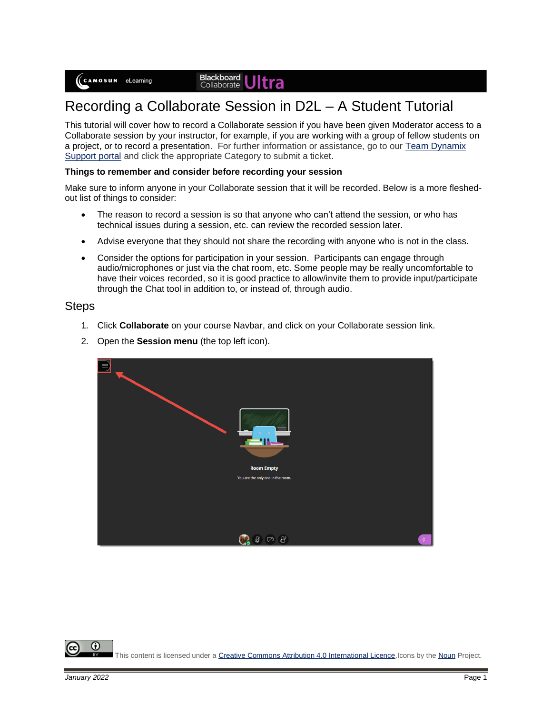## **Blackboard**<br>Collaborate

# Recording a Collaborate Session in D2L – A Student Tutorial

This tutorial will cover how to record a Collaborate session if you have been given Moderator access to a Collaborate session by your instructor, for example, if you are working with a group of fellow students on a project, or to record a presentation. For further information or assistance, go to our [Team Dynamix](https://camosun.teamdynamix.com/TDClient/67/Portal/Requests/ServiceCatalog?CategoryID=524)  [Support portal](https://camosun.teamdynamix.com/TDClient/67/Portal/Requests/ServiceCatalog?CategoryID=524) and click the appropriate Category to submit a ticket.

#### **Things to remember and consider before recording your session**

Make sure to inform anyone in your Collaborate session that it will be recorded. Below is a more fleshedout list of things to consider:

- The reason to record a session is so that anyone who can't attend the session, or who has technical issues during a session, etc. can review the recorded session later.
- Advise everyone that they should not share the recording with anyone who is not in the class.
- Consider the options for participation in your session. Participants can engage through audio/microphones or just via the chat room, etc. Some people may be really uncomfortable to have their voices recorded, so it is good practice to allow/invite them to provide input/participate through the Chat tool in addition to, or instead of, through audio.

#### **Steps**

- 1. Click **Collaborate** on your course Navbar, and click on your Collaborate session link.
- 2. Open the **Session menu** (the top left icon).

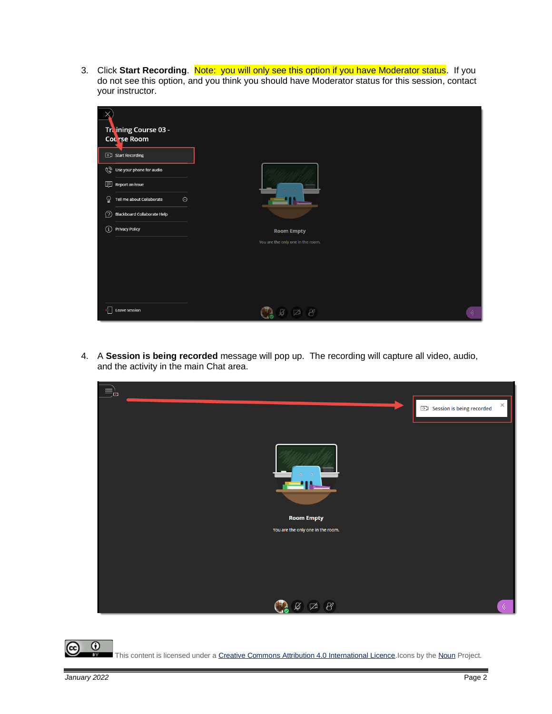3. Click **Start Recording**. Note: you will only see this option if you have Moderator status. If you do not see this option, and you think you should have Moderator status for this session, contact your instructor.

| y                                                 |                                   |  |
|---------------------------------------------------|-----------------------------------|--|
| Training Course 03 -                              |                                   |  |
| Course Room                                       |                                   |  |
| <b>c</b> ) Start Recording                        |                                   |  |
| Use your phone for audio                          |                                   |  |
| 图 Report an issue                                 |                                   |  |
| ହ<br>$\odot$<br>Tell me about Collaborate         |                                   |  |
| $\circledR$<br><b>Blackboard Collaborate Help</b> |                                   |  |
| $\odot$<br><b>Privacy Policy</b>                  | <b>Room Empty</b>                 |  |
|                                                   | You are the only one in the room. |  |
|                                                   |                                   |  |
|                                                   |                                   |  |
|                                                   |                                   |  |
|                                                   |                                   |  |
| €<br>Leave session                                | $\alpha$<br>囟                     |  |

4. A **Session is being recorded** message will pop up. The recording will capture all video, audio, and the activity in the main Chat area.



This content is licensed under [a Creative Commons Attribution 4.0 International Licence.I](https://creativecommons.org/licenses/by/4.0/)cons by th[e Noun](https://creativecommons.org/website-icons/) Project.

 $\odot$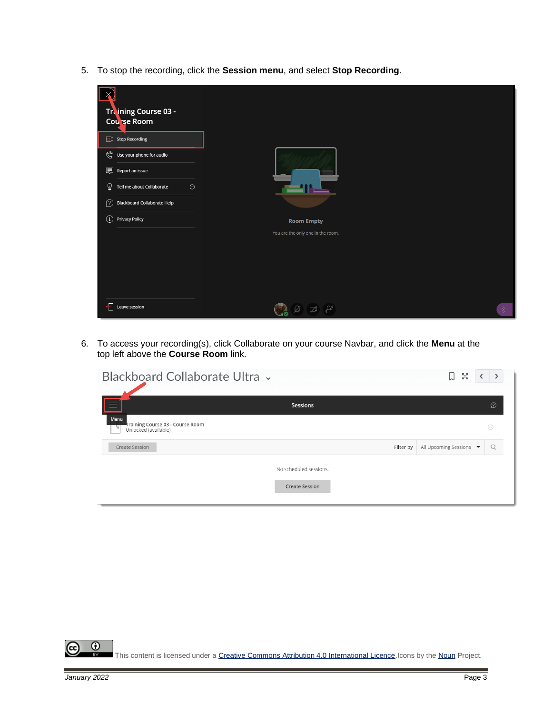5. To stop the recording, click the **Session menu**, and select **Stop Recording**.



6. To access your recording(s), click Collaborate on your course Navbar, and click the **Menu** at the top left above the **Course Room** link.

| Blackboard Collaborate Ultra v                                        |                        |           | БØ<br>Ум<br>IJ          |                        |
|-----------------------------------------------------------------------|------------------------|-----------|-------------------------|------------------------|
| ఆ                                                                     | Sessions               |           |                         | D                      |
| Menu<br>Training Course 03 - Course Room<br>真<br>Unlocked (available) |                        |           |                         | $\left( \dots \right)$ |
| Create Session                                                        |                        | Filter by | All Upcoming Sessions ▼ | Q                      |
|                                                                       | No scheduled sessions. |           |                         |                        |
|                                                                       | <b>Create Session</b>  |           |                         |                        |
|                                                                       |                        |           |                         |                        |